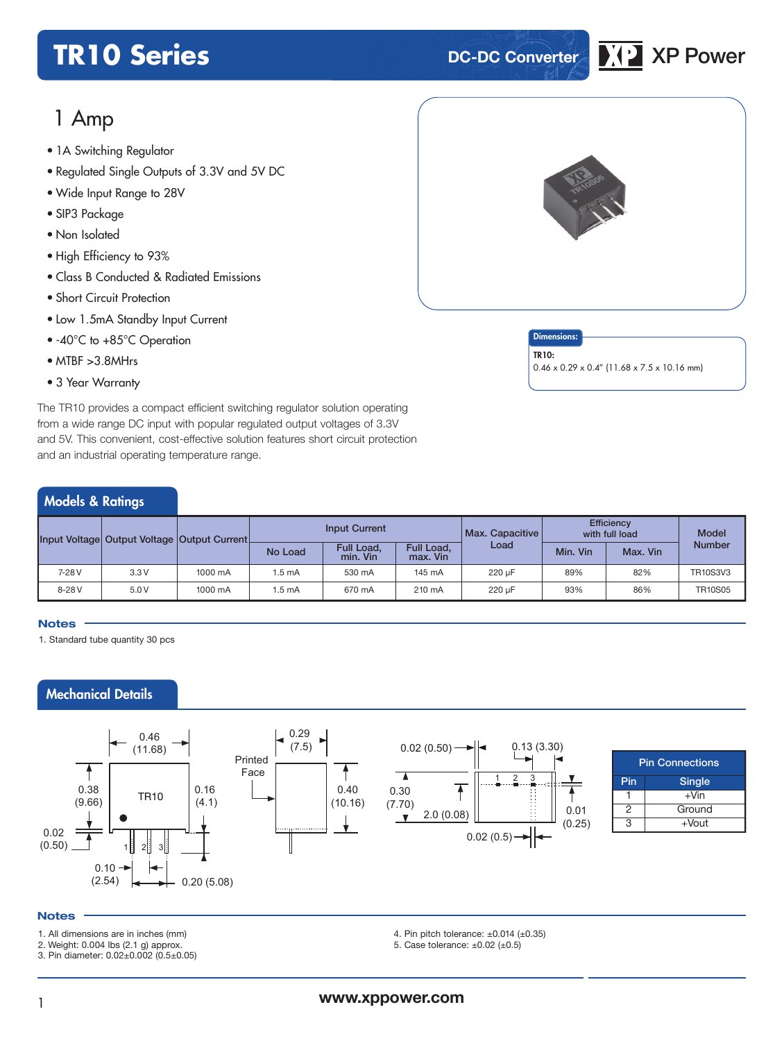## **TR10 Series DC-DC Converter XP** XP Power



## 1 Amp

- 1A Switching Regulator<br>
2
- Regulated Single Outputs of 3.3V and 5V DC
- Wide Input Range to 28V
- SIP3 Package
- Non Isolated
- High Efficiency to 93%
- Class B Conducted & Radiated Emissions
- Short Circuit Protection
- Low 1.5mA Standby Input Current
- -40°C to +85°C Operation
- MTBF >3.8MHrs
- 3 Year Warranty

The TR10 provides a compact efficient switching regulator solution operating from a wide range DC input with popular regulated output voltages of 3.3V and 5V. This convenient, cost-effective solution features short circuit protection and an industrial operating temperature range.

### Models & Ratings

|           |      | Input Voltage Output Voltage Output Current | <b>Input Current</b> |                        |                        | Max. Capacitive | Efficiency<br>with full load |          | <b>Model</b>    |
|-----------|------|---------------------------------------------|----------------------|------------------------|------------------------|-----------------|------------------------------|----------|-----------------|
|           |      |                                             | No Load              | Full Load,<br>min. Vin | Full Load,<br>max. Vin | Load            | Min. Vin                     | Max. Vin | <b>Number</b>   |
| 7-28 V    | 3.3V | 1000 mA                                     | 1.5 mA               | 530 mA                 | 145 mA                 | 220 uF          | 89%                          | 82%      | <b>TR10S3V3</b> |
| $8 - 28V$ | 5.0V | 1000 mA                                     | $1.5 \text{ mA}$     | 670 mA                 | 210 mA                 | 220 uF          | 93%                          | 86%      | <b>TR10S05</b>  |

#### **Notes**

1. Standard tube quantity 30 pcs

### Mechanical Details



#### **Notes**

- 1. All dimensions are in inches (mm)
- 2. Weight: 0.004 lbs (2.1 g) approx.
- 3. Pin diameter: 0.02±0.002 (0.5±0.05)
- 4. Pin pitch tolerance: ±0.014 (±0.35)
- 5. Case tolerance:  $\pm 0.02$  ( $\pm 0.5$ )



### **Dimensions**

TR10: 0.46 x 0.29 x 0.4" (11.68 x 7.5 x 10.16 mm)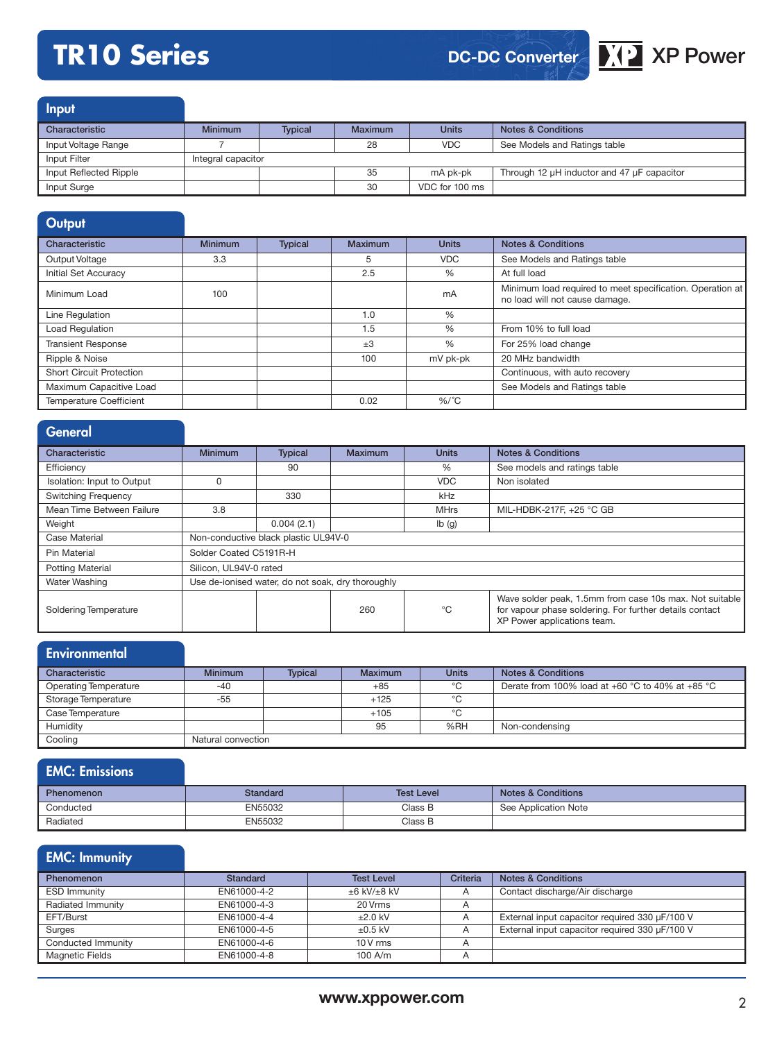# **TR10 Series XP** AP **XP XP** Power

### **DC-DC Converter**

**Input** 

| Characteristic         | <b>Minimum</b>     | <b>Typical</b> | Maximum | <b>Units</b>   | <b>Notes &amp; Conditions</b>              |
|------------------------|--------------------|----------------|---------|----------------|--------------------------------------------|
| Input Voltage Range    |                    |                | 28      | <b>VDC</b>     | See Models and Ratings table               |
| Input Filter           | Integral capacitor |                |         |                |                                            |
| Input Reflected Ripple |                    |                | 35      | mA pk-pk       | Through 12 µH inductor and 47 µF capacitor |
| Input Surge            |                    |                | 30      | VDC for 100 ms |                                            |

| Output                          |                |                |                |               |                                                                                             |
|---------------------------------|----------------|----------------|----------------|---------------|---------------------------------------------------------------------------------------------|
| Characteristic                  | <b>Minimum</b> | <b>Typical</b> | <b>Maximum</b> | <b>Units</b>  | <b>Notes &amp; Conditions</b>                                                               |
| Output Voltage                  | 3.3            |                | 5              | <b>VDC</b>    | See Models and Ratings table                                                                |
| Initial Set Accuracy            |                |                | 2.5            | $\%$          | At full load                                                                                |
| Minimum Load                    | 100            |                |                | mA            | Minimum load required to meet specification. Operation at<br>no load will not cause damage. |
| Line Regulation                 |                |                | 1.0            | $\frac{0}{6}$ |                                                                                             |
| <b>Load Regulation</b>          |                |                | 1.5            | $\frac{0}{6}$ | From 10% to full load                                                                       |
| <b>Transient Response</b>       |                |                | $\pm 3$        | $\frac{0}{6}$ | For 25% load change                                                                         |
| Ripple & Noise                  |                |                | 100            | mV pk-pk      | 20 MHz bandwidth                                                                            |
| <b>Short Circuit Protection</b> |                |                |                |               | Continuous, with auto recovery                                                              |
| Maximum Capacitive Load         |                |                |                |               | See Models and Ratings table                                                                |
| <b>Temperature Coefficient</b>  |                |                | 0.02           | $%$ /°C       |                                                                                             |

| General                    |                                                   |                |                |              |                                                                                                                                                   |  |
|----------------------------|---------------------------------------------------|----------------|----------------|--------------|---------------------------------------------------------------------------------------------------------------------------------------------------|--|
| Characteristic             | <b>Minimum</b>                                    | <b>Typical</b> | <b>Maximum</b> | <b>Units</b> | <b>Notes &amp; Conditions</b>                                                                                                                     |  |
| Efficiency                 |                                                   | 90             |                | %            | See models and ratings table                                                                                                                      |  |
| Isolation: Input to Output | 0                                                 |                |                | <b>VDC</b>   | Non isolated                                                                                                                                      |  |
| <b>Switching Frequency</b> |                                                   | 330            |                | kHz          |                                                                                                                                                   |  |
| Mean Time Between Failure  | 3.8                                               |                |                | <b>MHrs</b>  | MIL-HDBK-217F, +25 °C GB                                                                                                                          |  |
| Weight                     |                                                   | 0.004(2.1)     |                | lb(g)        |                                                                                                                                                   |  |
| Case Material              | Non-conductive black plastic UL94V-0              |                |                |              |                                                                                                                                                   |  |
| Pin Material               | Solder Coated C5191R-H                            |                |                |              |                                                                                                                                                   |  |
| <b>Potting Material</b>    | Silicon, UL94V-0 rated                            |                |                |              |                                                                                                                                                   |  |
| Water Washing              | Use de-ionised water, do not soak, dry thoroughly |                |                |              |                                                                                                                                                   |  |
| Soldering Temperature      |                                                   |                | 260            | °C           | Wave solder peak, 1.5mm from case 10s max. Not suitable<br>for vapour phase soldering. For further details contact<br>XP Power applications team. |  |

| Environmental                |                    |                |         |              |                                                  |
|------------------------------|--------------------|----------------|---------|--------------|--------------------------------------------------|
| Characteristic               | <b>Minimum</b>     | <b>Typical</b> | Maximum | <b>Units</b> | <b>Notes &amp; Conditions</b>                    |
| <b>Operating Temperature</b> | $-40$              |                | $+85$   | °C           | Derate from 100% load at +60 °C to 40% at +85 °C |
| Storage Temperature          | $-55$              |                | $+125$  | °C           |                                                  |
| Case Temperature             |                    |                | $+105$  | °C           |                                                  |
| Humidity                     |                    |                | 95      | %RH          | Non-condensing                                   |
| Cooling                      | Natural convection |                |         |              |                                                  |

| <b>EMC: Emissions</b> |                 |                   |                               |
|-----------------------|-----------------|-------------------|-------------------------------|
| <b>Phenomenon</b>     | <b>Standard</b> | <b>Test Level</b> | <b>Notes &amp; Conditions</b> |
| Conducted             | EN55032         | Class B           | See Application Note          |
| Radiated              | EN55032         | Class B           |                               |

### EMC: Immunity

| Phenomenon          | Standard    | <b>Test Level</b>      | Criteria | <b>Notes &amp; Conditions</b>                  |
|---------------------|-------------|------------------------|----------|------------------------------------------------|
| <b>ESD Immunity</b> | EN61000-4-2 | $\pm 6$ kV/ $\pm 8$ kV |          | Contact discharge/Air discharge                |
| Radiated Immunity   | EN61000-4-3 | 20 Vrms                |          |                                                |
| EFT/Burst           | EN61000-4-4 | $\pm 2.0$ kV           |          | External input capacitor required 330 µF/100 V |
| Surges              | EN61000-4-5 | $\pm 0.5$ kV           |          | External input capacitor required 330 µF/100 V |
| Conducted Immunity  | EN61000-4-6 | $10V$ rms              |          |                                                |
| Magnetic Fields     | EN61000-4-8 | $100$ A/m              |          |                                                |